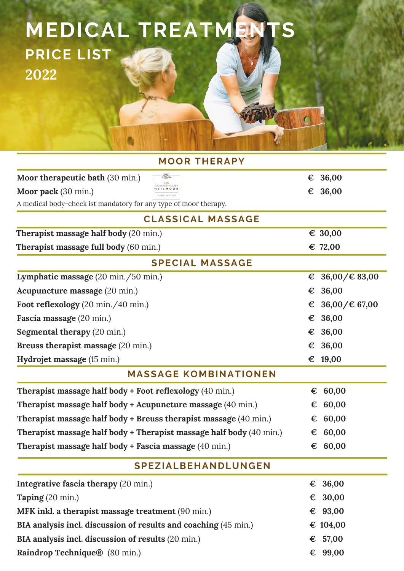## **MEDICAL TREATMENTS PRICE LIST 2022**

| <b>MOOR THERAPY</b>                                                        |   |                                    |
|----------------------------------------------------------------------------|---|------------------------------------|
| ♨<br>Moor therapeutic bath (30 min.)                                       | € | 36,00                              |
| GROSSPERTHOLZER<br><b>HEILMOOR</b><br>Moor pack (30 min.)<br>PURE NATUR    | € | 36,00                              |
| A medical body-check ist mandatory for any type of moor therapy.           |   |                                    |
| <b>CLASSICAL MASSAGE</b>                                                   |   |                                    |
| Therapist massage half body (20 min.)                                      |   | € 30,00                            |
| <b>Therapist massage full body</b> (60 min.)                               |   | € 72,00                            |
| <b>SPECIAL MASSAGE</b>                                                     |   |                                    |
| Lymphatic massage (20 min./50 min.)                                        | € | $36,00 \neq 83,00$                 |
| Acupuncture massage (20 min.)                                              | € | 36,00                              |
| Foot reflexology (20 min./40 min.)                                         | € | $36,00/\text{\textsterling} 67,00$ |
| Fascia massage (20 min.)                                                   | € | 36,00                              |
| <b>Segmental therapy (20 min.)</b>                                         | € | 36,00                              |
| Breuss therapist massage (20 min.)                                         | € | 36,00                              |
| Hydrojet massage (15 min.)                                                 |   | € 19,00                            |
| <b>MASSAGE KOMBINATIONEN</b>                                               |   |                                    |
| Therapist massage half body + Foot reflexology (40 min.)                   | € | 60,00                              |
| <b>Therapist massage half body + Acupuncture massage (40 min.)</b>         | € | 60,00                              |
| <b>Therapist massage half body + Breuss therapist massage (40 min.)</b>    | € | 60,00                              |
| <b>Therapist massage half body + Therapist massage half body</b> (40 min.) | € | 60,00                              |
| Therapist massage half body + Fascia massage (40 min.)                     | € | 60,00                              |
| <b>SPEZIALBEHANDLUNGEN</b>                                                 |   |                                    |
| Integrative fascia therapy (20 min.)                                       |   | € 36,00                            |
| Taping (20 min.)                                                           |   | € 30,00                            |
| MFK inkl. a therapist massage treatment (90 min.)                          |   | € 93,00                            |
| BIA analysis incl. discussion of results and coaching (45 min.)            |   | € 104,00                           |
| BIA analysis incl. discussion of results (20 min.)                         | € | 57,00                              |
| Raindrop Technique® (80 min.)                                              |   | € 99,00                            |

 $\overline{\mathbf{C}}$